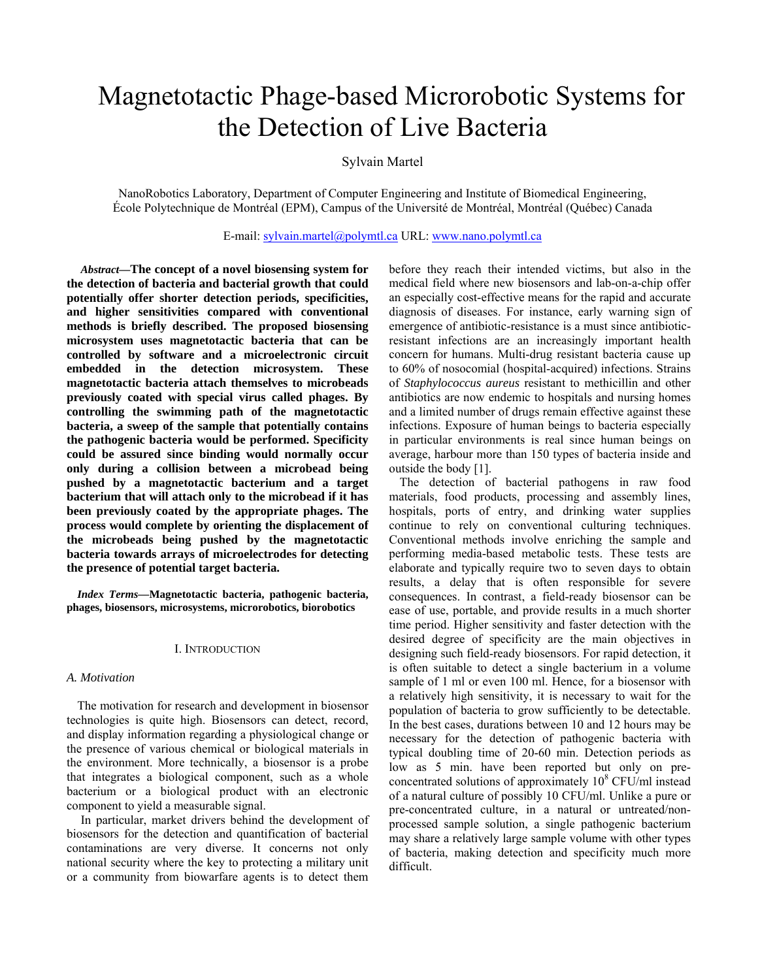# Magnetotactic Phage-based Microrobotic Systems for the Detection of Live Bacteria

Sylvain Martel

NanoRobotics Laboratory, Department of Computer Engineering and Institute of Biomedical Engineering, École Polytechnique de Montréal (EPM), Campus of the Université de Montréal, Montréal (Québec) Canada

E-mail: sylvain.martel@polymtl.ca URL: www.nano.polymtl.ca

*Abstract***—The concept of a novel biosensing system for the detection of bacteria and bacterial growth that could potentially offer shorter detection periods, specificities, and higher sensitivities compared with conventional methods is briefly described. The proposed biosensing microsystem uses magnetotactic bacteria that can be controlled by software and a microelectronic circuit embedded in the detection microsystem. These magnetotactic bacteria attach themselves to microbeads previously coated with special virus called phages. By controlling the swimming path of the magnetotactic bacteria, a sweep of the sample that potentially contains the pathogenic bacteria would be performed. Specificity could be assured since binding would normally occur only during a collision between a microbead being pushed by a magnetotactic bacterium and a target bacterium that will attach only to the microbead if it has been previously coated by the appropriate phages. The process would complete by orienting the displacement of the microbeads being pushed by the magnetotactic bacteria towards arrays of microelectrodes for detecting the presence of potential target bacteria.** 

*Index Terms***—Magnetotactic bacteria, pathogenic bacteria, phages, biosensors, microsystems, microrobotics, biorobotics** 

#### I. INTRODUCTION

#### *A. Motivation*

 The motivation for research and development in biosensor technologies is quite high. Biosensors can detect, record, and display information regarding a physiological change or the presence of various chemical or biological materials in the environment. More technically, a biosensor is a probe that integrates a biological component, such as a whole bacterium or a biological product with an electronic component to yield a measurable signal.

 In particular, market drivers behind the development of biosensors for the detection and quantification of bacterial contaminations are very diverse. It concerns not only national security where the key to protecting a military unit or a community from biowarfare agents is to detect them

before they reach their intended victims, but also in the medical field where new biosensors and lab-on-a-chip offer an especially cost-effective means for the rapid and accurate diagnosis of diseases. For instance, early warning sign of emergence of antibiotic-resistance is a must since antibioticresistant infections are an increasingly important health concern for humans. Multi-drug resistant bacteria cause up to 60% of nosocomial (hospital-acquired) infections. Strains of *Staphylococcus aureus* resistant to methicillin and other antibiotics are now endemic to hospitals and nursing homes and a limited number of drugs remain effective against these infections. Exposure of human beings to bacteria especially in particular environments is real since human beings on average, harbour more than 150 types of bacteria inside and outside the body [1].

 The detection of bacterial pathogens in raw food materials, food products, processing and assembly lines, hospitals, ports of entry, and drinking water supplies continue to rely on conventional culturing techniques. Conventional methods involve enriching the sample and performing media-based metabolic tests. These tests are elaborate and typically require two to seven days to obtain results, a delay that is often responsible for severe consequences. In contrast, a field-ready biosensor can be ease of use, portable, and provide results in a much shorter time period. Higher sensitivity and faster detection with the desired degree of specificity are the main objectives in designing such field-ready biosensors. For rapid detection, it is often suitable to detect a single bacterium in a volume sample of 1 ml or even 100 ml. Hence, for a biosensor with a relatively high sensitivity, it is necessary to wait for the population of bacteria to grow sufficiently to be detectable. In the best cases, durations between 10 and 12 hours may be necessary for the detection of pathogenic bacteria with typical doubling time of 20-60 min. Detection periods as low as 5 min. have been reported but only on preconcentrated solutions of approximately  $10^8$  CFU/ml instead of a natural culture of possibly 10 CFU/ml. Unlike a pure or pre-concentrated culture, in a natural or untreated/nonprocessed sample solution, a single pathogenic bacterium may share a relatively large sample volume with other types of bacteria, making detection and specificity much more difficult.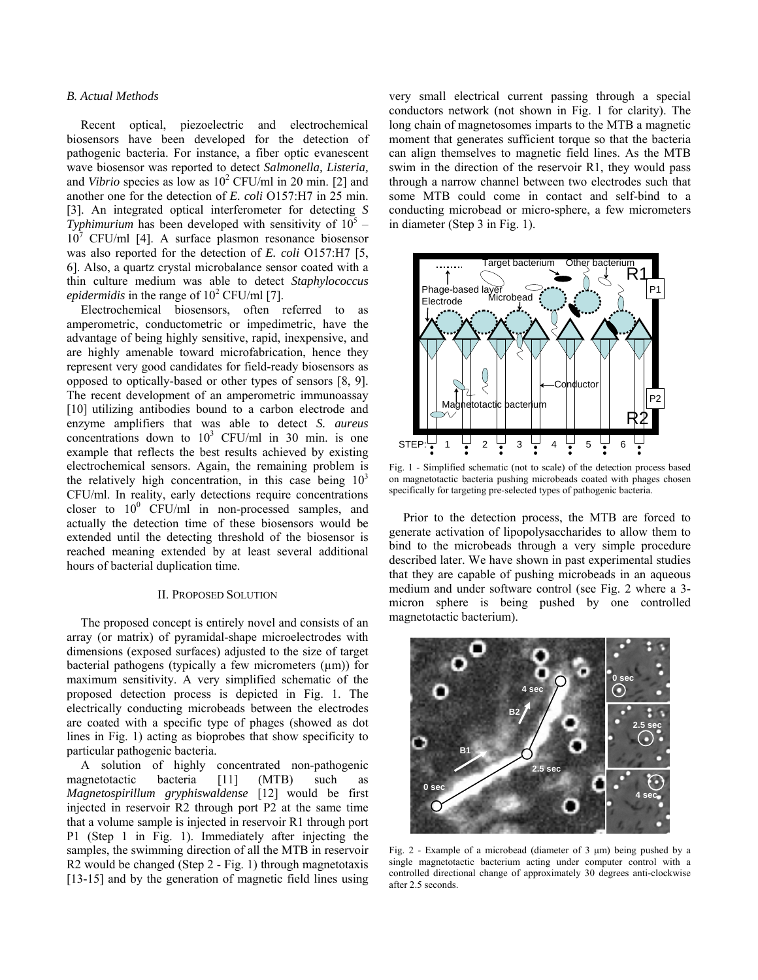# *B. Actual Methods*

 Recent optical, piezoelectric and electrochemical biosensors have been developed for the detection of pathogenic bacteria. For instance, a fiber optic evanescent wave biosensor was reported to detect *Salmonella, Listeria,* and *Vibrio* species as low as  $10^2$  CFU/ml in 20 min. [2] and another one for the detection of *E. coli* O157:H7 in 25 min. [3]. An integrated optical interferometer for detecting *S Typhimurium* has been developed with sensitivity of  $10^5$  –  $10^7$  CFU/ml [4]. A surface plasmon resonance biosensor was also reported for the detection of *E. coli* O157:H7 [5, 6]. Also, a quartz crystal microbalance sensor coated with a thin culture medium was able to detect *Staphylococcus epidermidis* in the range of  $10^2$  CFU/ml [7].

 Electrochemical biosensors, often referred to as amperometric, conductometric or impedimetric, have the advantage of being highly sensitive, rapid, inexpensive, and are highly amenable toward microfabrication, hence they represent very good candidates for field-ready biosensors as opposed to optically-based or other types of sensors [8, 9]. The recent development of an amperometric immunoassay [10] utilizing antibodies bound to a carbon electrode and enzyme amplifiers that was able to detect *S. aureus* concentrations down to  $10^3$  CFU/ml in 30 min. is one example that reflects the best results achieved by existing electrochemical sensors. Again, the remaining problem is the relatively high concentration, in this case being  $10<sup>3</sup>$ CFU/ml. In reality, early detections require concentrations closer to  $10^0$  CFU/ml in non-processed samples, and actually the detection time of these biosensors would be extended until the detecting threshold of the biosensor is reached meaning extended by at least several additional hours of bacterial duplication time.

#### II. PROPOSED SOLUTION

 The proposed concept is entirely novel and consists of an array (or matrix) of pyramidal-shape microelectrodes with dimensions (exposed surfaces) adjusted to the size of target bacterial pathogens (typically a few micrometers  $(\mu m)$ ) for maximum sensitivity. A very simplified schematic of the proposed detection process is depicted in Fig. 1. The electrically conducting microbeads between the electrodes are coated with a specific type of phages (showed as dot lines in Fig. 1) acting as bioprobes that show specificity to particular pathogenic bacteria.

 A solution of highly concentrated non-pathogenic magnetotactic bacteria [11] (MTB) such as *Magnetospirillum gryphiswaldense* [12] would be first injected in reservoir R2 through port P2 at the same time that a volume sample is injected in reservoir R1 through port P1 (Step 1 in Fig. 1). Immediately after injecting the samples, the swimming direction of all the MTB in reservoir R2 would be changed (Step 2 - Fig. 1) through magnetotaxis [13-15] and by the generation of magnetic field lines using very small electrical current passing through a special conductors network (not shown in Fig. 1 for clarity). The long chain of magnetosomes imparts to the MTB a magnetic moment that generates sufficient torque so that the bacteria can align themselves to magnetic field lines. As the MTB swim in the direction of the reservoir R1, they would pass through a narrow channel between two electrodes such that some MTB could come in contact and self-bind to a conducting microbead or micro-sphere, a few micrometers in diameter (Step 3 in Fig. 1).



Fig. 1 - Simplified schematic (not to scale) of the detection process based on magnetotactic bacteria pushing microbeads coated with phages chosen specifically for targeting pre-selected types of pathogenic bacteria.

 Prior to the detection process, the MTB are forced to generate activation of lipopolysaccharides to allow them to bind to the microbeads through a very simple procedure described later. We have shown in past experimental studies that they are capable of pushing microbeads in an aqueous medium and under software control (see Fig. 2 where a 3 micron sphere is being pushed by one controlled magnetotactic bacterium).



Fig. 2 - Example of a microbead (diameter of  $3 \mu m$ ) being pushed by a single magnetotactic bacterium acting under computer control with a controlled directional change of approximately 30 degrees anti-clockwise after 2.5 seconds.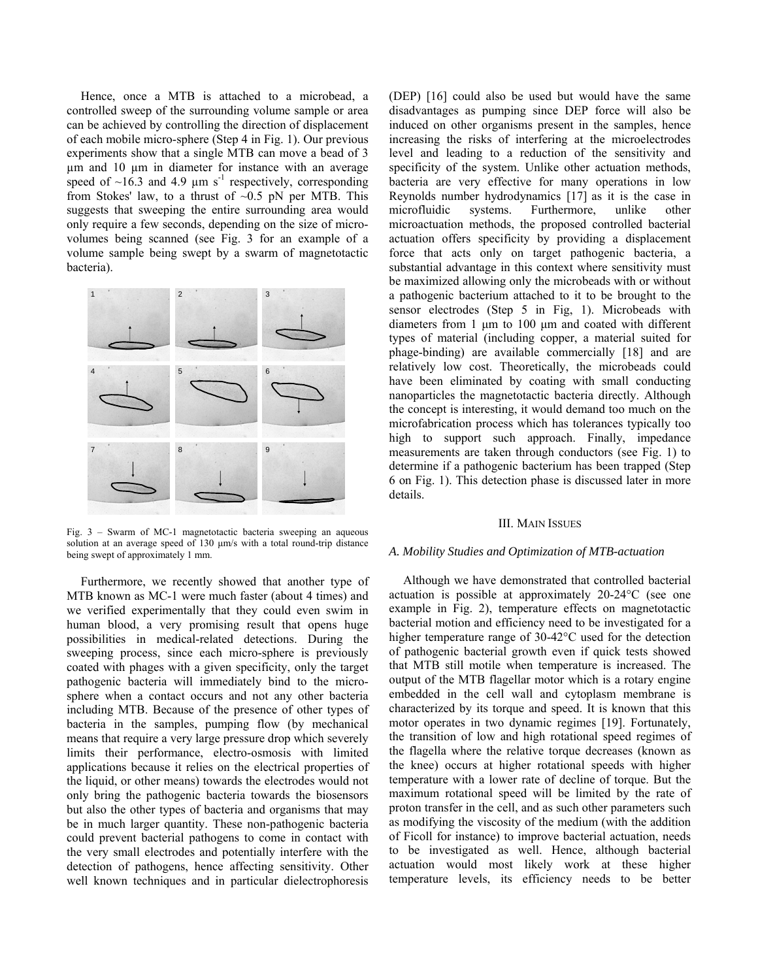Hence, once a MTB is attached to a microbead, a controlled sweep of the surrounding volume sample or area can be achieved by controlling the direction of displacement of each mobile micro-sphere (Step 4 in Fig. 1). Our previous experiments show that a single MTB can move a bead of 3 µm and 10 µm in diameter for instance with an average speed of  $\sim$ 16.3 and 4.9  $\mu$ m s<sup>-1</sup> respectively, corresponding from Stokes' law, to a thrust of  $\sim 0.5$  pN per MTB. This suggests that sweeping the entire surrounding area would only require a few seconds, depending on the size of microvolumes being scanned (see Fig. 3 for an example of a volume sample being swept by a swarm of magnetotactic bacteria).



Fig. 3 – Swarm of MC-1 magnetotactic bacteria sweeping an aqueous solution at an average speed of 130  $\mu$ m/s with a total round-trip distance being swept of approximately 1 mm.

 Furthermore, we recently showed that another type of MTB known as MC-1 were much faster (about 4 times) and we verified experimentally that they could even swim in human blood, a very promising result that opens huge possibilities in medical-related detections. During the sweeping process, since each micro-sphere is previously coated with phages with a given specificity, only the target pathogenic bacteria will immediately bind to the microsphere when a contact occurs and not any other bacteria including MTB. Because of the presence of other types of bacteria in the samples, pumping flow (by mechanical means that require a very large pressure drop which severely limits their performance, electro-osmosis with limited applications because it relies on the electrical properties of the liquid, or other means) towards the electrodes would not only bring the pathogenic bacteria towards the biosensors but also the other types of bacteria and organisms that may be in much larger quantity. These non-pathogenic bacteria could prevent bacterial pathogens to come in contact with the very small electrodes and potentially interfere with the detection of pathogens, hence affecting sensitivity. Other well known techniques and in particular dielectrophoresis

(DEP) [16] could also be used but would have the same disadvantages as pumping since DEP force will also be induced on other organisms present in the samples, hence increasing the risks of interfering at the microelectrodes level and leading to a reduction of the sensitivity and specificity of the system. Unlike other actuation methods, bacteria are very effective for many operations in low Reynolds number hydrodynamics [17] as it is the case in microfluidic systems. Furthermore, unlike other microactuation methods, the proposed controlled bacterial actuation offers specificity by providing a displacement force that acts only on target pathogenic bacteria, a substantial advantage in this context where sensitivity must be maximized allowing only the microbeads with or without a pathogenic bacterium attached to it to be brought to the sensor electrodes (Step 5 in Fig, 1). Microbeads with diameters from 1 µm to 100 µm and coated with different types of material (including copper, a material suited for phage-binding) are available commercially [18] and are relatively low cost. Theoretically, the microbeads could have been eliminated by coating with small conducting nanoparticles the magnetotactic bacteria directly. Although the concept is interesting, it would demand too much on the microfabrication process which has tolerances typically too high to support such approach. Finally, impedance measurements are taken through conductors (see Fig. 1) to determine if a pathogenic bacterium has been trapped (Step 6 on Fig. 1). This detection phase is discussed later in more details.

# III. MAIN ISSUES

#### *A. Mobility Studies and Optimization of MTB-actuation*

 Although we have demonstrated that controlled bacterial actuation is possible at approximately 20-24°C (see one example in Fig. 2), temperature effects on magnetotactic bacterial motion and efficiency need to be investigated for a higher temperature range of 30-42°C used for the detection of pathogenic bacterial growth even if quick tests showed that MTB still motile when temperature is increased. The output of the MTB flagellar motor which is a rotary engine embedded in the cell wall and cytoplasm membrane is characterized by its torque and speed. It is known that this motor operates in two dynamic regimes [19]. Fortunately, the transition of low and high rotational speed regimes of the flagella where the relative torque decreases (known as the knee) occurs at higher rotational speeds with higher temperature with a lower rate of decline of torque. But the maximum rotational speed will be limited by the rate of proton transfer in the cell, and as such other parameters such as modifying the viscosity of the medium (with the addition of Ficoll for instance) to improve bacterial actuation, needs to be investigated as well. Hence, although bacterial actuation would most likely work at these higher temperature levels, its efficiency needs to be better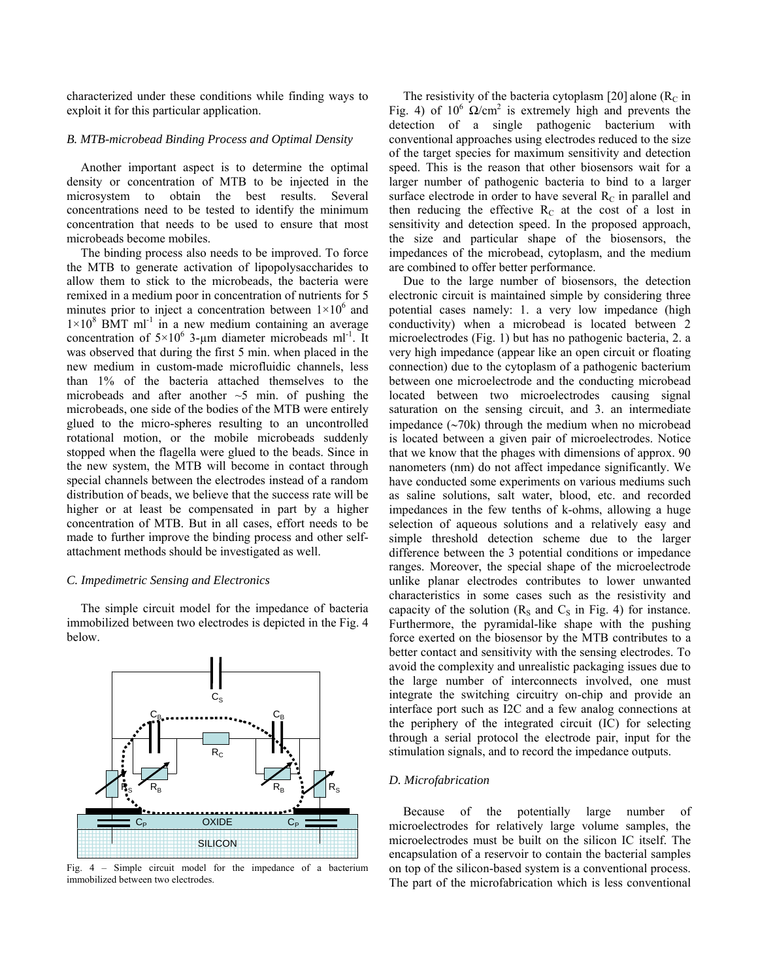characterized under these conditions while finding ways to exploit it for this particular application.

# *B. MTB-microbead Binding Process and Optimal Density*

 Another important aspect is to determine the optimal density or concentration of MTB to be injected in the microsystem to obtain the best results. Several concentrations need to be tested to identify the minimum concentration that needs to be used to ensure that most microbeads become mobiles.

 The binding process also needs to be improved. To force the MTB to generate activation of lipopolysaccharides to allow them to stick to the microbeads, the bacteria were remixed in a medium poor in concentration of nutrients for 5 minutes prior to inject a concentration between  $1 \times 10^6$  and  $1\times10^8$  BMT ml<sup>-1</sup> in a new medium containing an average concentration of  $5 \times 10^6$  3-µm diameter microbeads ml<sup>-1</sup>. It was observed that during the first 5 min. when placed in the new medium in custom-made microfluidic channels, less than 1% of the bacteria attached themselves to the microbeads and after another  $\sim$ 5 min. of pushing the microbeads, one side of the bodies of the MTB were entirely glued to the micro-spheres resulting to an uncontrolled rotational motion, or the mobile microbeads suddenly stopped when the flagella were glued to the beads. Since in the new system, the MTB will become in contact through special channels between the electrodes instead of a random distribution of beads, we believe that the success rate will be higher or at least be compensated in part by a higher concentration of MTB. But in all cases, effort needs to be made to further improve the binding process and other selfattachment methods should be investigated as well.

# *C. Impedimetric Sensing and Electronics*

 The simple circuit model for the impedance of bacteria immobilized between two electrodes is depicted in the Fig. 4 below.



Fig. 4 – Simple circuit model for the impedance of a bacterium immobilized between two electrodes.

The resistivity of the bacteria cytoplasm [20] alone ( $R<sub>C</sub>$  in Fig. 4) of  $10^6$   $\Omega/cm^2$  is extremely high and prevents the detection of a single pathogenic bacterium with conventional approaches using electrodes reduced to the size of the target species for maximum sensitivity and detection speed. This is the reason that other biosensors wait for a larger number of pathogenic bacteria to bind to a larger surface electrode in order to have several  $R<sub>C</sub>$  in parallel and then reducing the effective  $R_C$  at the cost of a lost in sensitivity and detection speed. In the proposed approach, the size and particular shape of the biosensors, the impedances of the microbead, cytoplasm, and the medium are combined to offer better performance.

 Due to the large number of biosensors, the detection electronic circuit is maintained simple by considering three potential cases namely: 1. a very low impedance (high conductivity) when a microbead is located between 2 microelectrodes (Fig. 1) but has no pathogenic bacteria, 2. a very high impedance (appear like an open circuit or floating connection) due to the cytoplasm of a pathogenic bacterium between one microelectrode and the conducting microbead located between two microelectrodes causing signal saturation on the sensing circuit, and 3. an intermediate impedance (∼70k) through the medium when no microbead is located between a given pair of microelectrodes. Notice that we know that the phages with dimensions of approx. 90 nanometers (nm) do not affect impedance significantly. We have conducted some experiments on various mediums such as saline solutions, salt water, blood, etc. and recorded impedances in the few tenths of k-ohms, allowing a huge selection of aqueous solutions and a relatively easy and simple threshold detection scheme due to the larger difference between the 3 potential conditions or impedance ranges. Moreover, the special shape of the microelectrode unlike planar electrodes contributes to lower unwanted characteristics in some cases such as the resistivity and capacity of the solution  $(R<sub>S</sub>$  and  $C<sub>S</sub>$  in Fig. 4) for instance. Furthermore, the pyramidal-like shape with the pushing force exerted on the biosensor by the MTB contributes to a better contact and sensitivity with the sensing electrodes. To avoid the complexity and unrealistic packaging issues due to the large number of interconnects involved, one must integrate the switching circuitry on-chip and provide an interface port such as I2C and a few analog connections at the periphery of the integrated circuit (IC) for selecting through a serial protocol the electrode pair, input for the stimulation signals, and to record the impedance outputs.

# *D. Microfabrication*

Because of the potentially large number of microelectrodes for relatively large volume samples, the microelectrodes must be built on the silicon IC itself. The encapsulation of a reservoir to contain the bacterial samples on top of the silicon-based system is a conventional process. The part of the microfabrication which is less conventional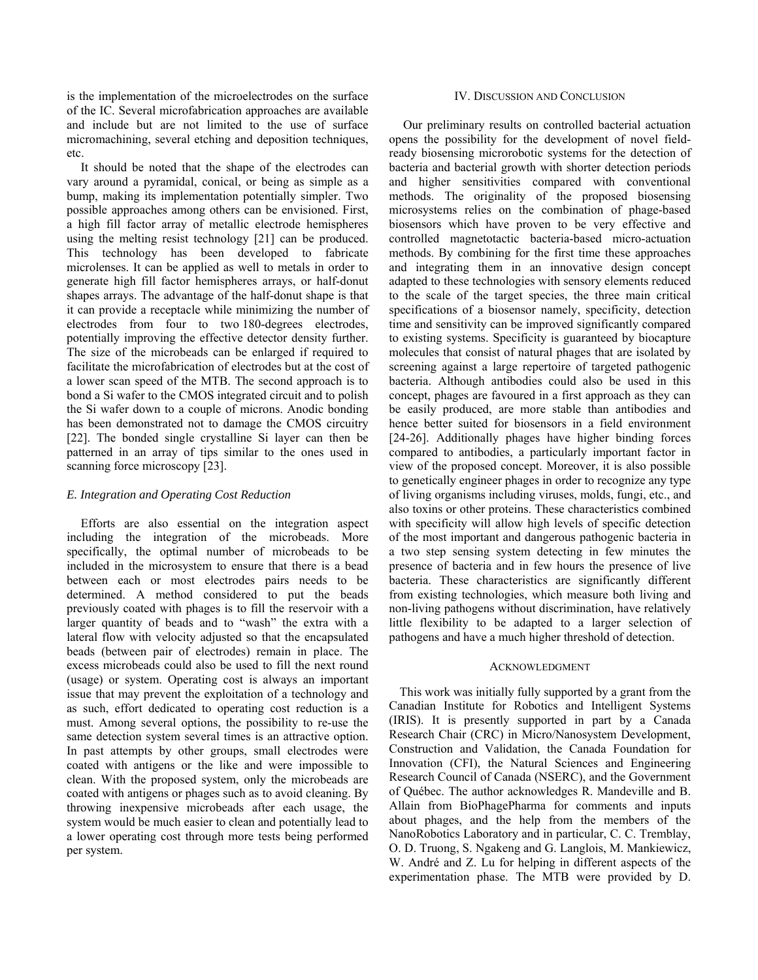is the implementation of the microelectrodes on the surface of the IC. Several microfabrication approaches are available and include but are not limited to the use of surface micromachining, several etching and deposition techniques, etc.

 It should be noted that the shape of the electrodes can vary around a pyramidal, conical, or being as simple as a bump, making its implementation potentially simpler. Two possible approaches among others can be envisioned. First, a high fill factor array of metallic electrode hemispheres using the melting resist technology [21] can be produced. This technology has been developed to fabricate microlenses. It can be applied as well to metals in order to generate high fill factor hemispheres arrays, or half-donut shapes arrays. The advantage of the half-donut shape is that it can provide a receptacle while minimizing the number of electrodes from four to two 180-degrees electrodes, potentially improving the effective detector density further. The size of the microbeads can be enlarged if required to facilitate the microfabrication of electrodes but at the cost of a lower scan speed of the MTB. The second approach is to bond a Si wafer to the CMOS integrated circuit and to polish the Si wafer down to a couple of microns. Anodic bonding has been demonstrated not to damage the CMOS circuitry [22]. The bonded single crystalline Si layer can then be patterned in an array of tips similar to the ones used in scanning force microscopy [23].

# *E. Integration and Operating Cost Reduction*

 Efforts are also essential on the integration aspect including the integration of the microbeads. More specifically, the optimal number of microbeads to be included in the microsystem to ensure that there is a bead between each or most electrodes pairs needs to be determined. A method considered to put the beads previously coated with phages is to fill the reservoir with a larger quantity of beads and to "wash" the extra with a lateral flow with velocity adjusted so that the encapsulated beads (between pair of electrodes) remain in place. The excess microbeads could also be used to fill the next round (usage) or system. Operating cost is always an important issue that may prevent the exploitation of a technology and as such, effort dedicated to operating cost reduction is a must. Among several options, the possibility to re-use the same detection system several times is an attractive option. In past attempts by other groups, small electrodes were coated with antigens or the like and were impossible to clean. With the proposed system, only the microbeads are coated with antigens or phages such as to avoid cleaning. By throwing inexpensive microbeads after each usage, the system would be much easier to clean and potentially lead to a lower operating cost through more tests being performed per system.

# IV. DISCUSSION AND CONCLUSION

 Our preliminary results on controlled bacterial actuation opens the possibility for the development of novel fieldready biosensing microrobotic systems for the detection of bacteria and bacterial growth with shorter detection periods and higher sensitivities compared with conventional methods. The originality of the proposed biosensing microsystems relies on the combination of phage-based biosensors which have proven to be very effective and controlled magnetotactic bacteria-based micro-actuation methods. By combining for the first time these approaches and integrating them in an innovative design concept adapted to these technologies with sensory elements reduced to the scale of the target species, the three main critical specifications of a biosensor namely, specificity, detection time and sensitivity can be improved significantly compared to existing systems. Specificity is guaranteed by biocapture molecules that consist of natural phages that are isolated by screening against a large repertoire of targeted pathogenic bacteria. Although antibodies could also be used in this concept, phages are favoured in a first approach as they can be easily produced, are more stable than antibodies and hence better suited for biosensors in a field environment [24-26]. Additionally phages have higher binding forces compared to antibodies, a particularly important factor in view of the proposed concept. Moreover, it is also possible to genetically engineer phages in order to recognize any type of living organisms including viruses, molds, fungi, etc., and also toxins or other proteins. These characteristics combined with specificity will allow high levels of specific detection of the most important and dangerous pathogenic bacteria in a two step sensing system detecting in few minutes the presence of bacteria and in few hours the presence of live bacteria. These characteristics are significantly different from existing technologies, which measure both living and non-living pathogens without discrimination, have relatively little flexibility to be adapted to a larger selection of pathogens and have a much higher threshold of detection.

#### ACKNOWLEDGMENT

 This work was initially fully supported by a grant from the Canadian Institute for Robotics and Intelligent Systems (IRIS). It is presently supported in part by a Canada Research Chair (CRC) in Micro/Nanosystem Development, Construction and Validation, the Canada Foundation for Innovation (CFI), the Natural Sciences and Engineering Research Council of Canada (NSERC), and the Government of Québec. The author acknowledges R. Mandeville and B. Allain from BioPhagePharma for comments and inputs about phages, and the help from the members of the NanoRobotics Laboratory and in particular, C. C. Tremblay, O. D. Truong, S. Ngakeng and G. Langlois, M. Mankiewicz, W. André and Z. Lu for helping in different aspects of the experimentation phase. The MTB were provided by D.